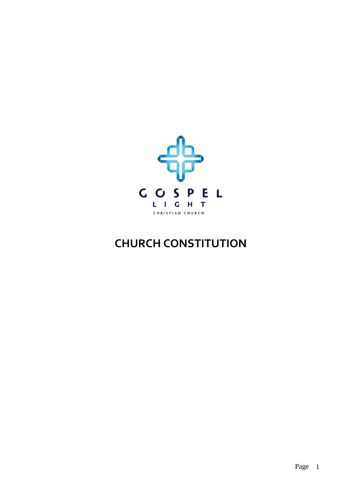

# **CHURCH CONSTITUTION**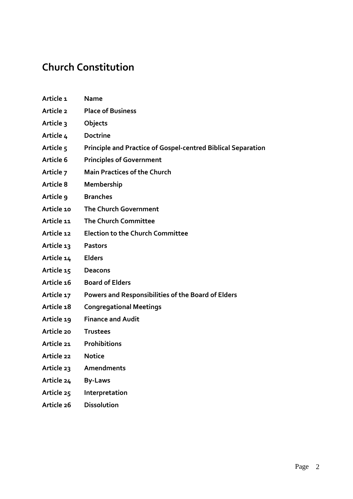# **Church Constitution**

- **Article 1 Name Article 2 Place of Business**
- **Article 3 Objects**
- 
- **Article 4 Doctrine**
- **Article 5 Principle and Practice of Gospel-centred Biblical Separation**
- **Article 6 Principles of Government**
- **Article 7 Main Practices of the Church**
- **Article 8 Membership**
- **Article 9 Branches**
- **Article 10 The Church Government**
- **Article 11 The Church Committee**
- **Article 12 Election to the Church Committee**
- **Article 13 Pastors**
- **Article 14 Elders**
- **Article 15 Deacons**
- **Article 16 Board of Elders**
- **Article 17 Powers and Responsibilities of the Board of Elders**
- **Article 18 Congregational Meetings**
- **Article 19 Finance and Audit**
- **Article 20 Trustees**
- **Article 21 Prohibitions**
- **Article 22 Notice**
- **Article 23 Amendments**
- **Article 24 By-Laws**
- **Article 25 Interpretation**
- **Article 26 Dissolution**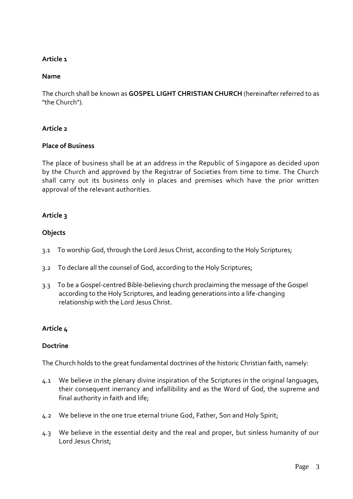#### **Name**

The church shall be known as **GOSPEL LIGHT CHRISTIAN CHURCH** (hereinafter referred to as "the Church").

#### **Article 2**

#### **Place of Business**

The place of business shall be at an address in the Republic of Singapore as decided upon by the Church and approved by the Registrar of Societies from time to time. The Church shall carry out its business only in places and premises which have the prior written approval of the relevant authorities.

# **Article 3**

# **Objects**

- 3.1 To worship God, through the Lord Jesus Christ, according to the Holy Scriptures;
- 3.2 To declare all the counsel of God, according to the Holy Scriptures;
- 3.3 To be a Gospel-centred Bible-believing church proclaiming the message of the Gospel according to the Holy Scriptures, and leading generations into a life-changing relationship with the Lord Jesus Christ.

# **Article 4**

#### **Doctrine**

The Church holds to the great fundamental doctrines of the historic Christian faith, namely:

- 4.1 We believe in the plenary divine inspiration of the Scriptures in the original languages, their consequent inerrancy and infallibility and as the Word of God, the supreme and final authority in faith and life;
- 4.2 We believe in the one true eternal triune God, Father, Son and Holy Spirit;
- 4.3 We believe in the essential deity and the real and proper, but sinless humanity of our Lord Jesus Christ;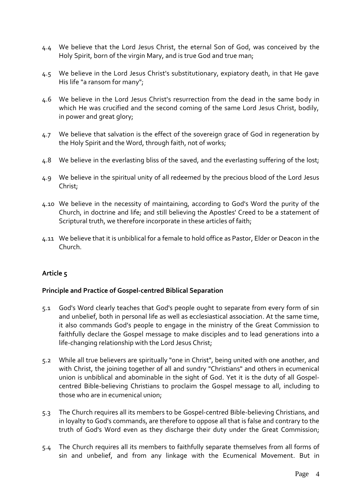- 4.4 We believe that the Lord Jesus Christ, the eternal Son of God, was conceived by the Holy Spirit, born of the virgin Mary, and is true God and true man;
- 4.5 We believe in the Lord Jesus Christ's substitutionary, expiatory death, in that He gave His life "a ransom for many";
- 4.6 We believe in the Lord Jesus Christ's resurrection from the dead in the same body in which He was crucified and the second coming of the same Lord Jesus Christ, bodily, in power and great glory;
- 4.7 We believe that salvation is the effect of the sovereign grace of God in regeneration by the Holy Spirit and the Word, through faith, not of works;
- 4.8 We believe in the everlasting bliss of the saved, and the everlasting suffering of the lost;
- 4.9 We believe in the spiritual unity of all redeemed by the precious blood of the Lord Jesus Christ;
- 4.10 We believe in the necessity of maintaining, according to God's Word the purity of the Church, in doctrine and life; and still believing the Apostles' Creed to be a statement of Scriptural truth, we therefore incorporate in these articles of faith;
- 4.11 We believe that it is unbiblical for a female to hold office as Pastor, Elder or Deacon in the Church.

#### **Principle and Practice of Gospel-centred Biblical Separation**

- 5.1 God's Word clearly teaches that God's people ought to separate from every form of sin and unbelief, both in personal life as well as ecclesiastical association. At the same time, it also commands God's people to engage in the ministry of the Great Commission to faithfully declare the Gospel message to make disciples and to lead generations into a life-changing relationship with the Lord Jesus Christ;
- 5.2 While all true believers are spiritually "one in Christ", being united with one another, and with Christ, the joining together of all and sundry "Christians" and others in ecumenical union is unbiblical and abominable in the sight of God. Yet it is the duty of all Gospelcentred Bible-believing Christians to proclaim the Gospel message to all, including to those who are in ecumenical union;
- 5.3 The Church requires all its members to be Gospel-centred Bible-believing Christians, and in loyalty to God's commands, are therefore to oppose all that is false and contrary to the truth of God's Word even as they discharge their duty under the Great Commission;
- 5.4 The Church requires all its members to faithfully separate themselves from all forms of sin and unbelief, and from any linkage with the Ecumenical Movement. But in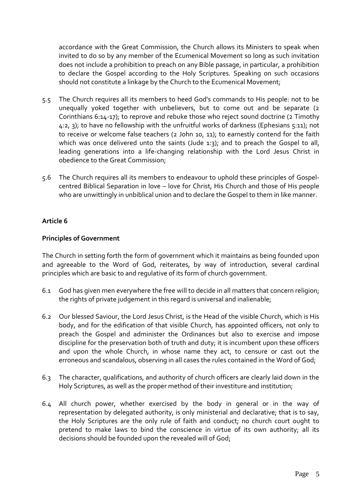accordance with the Great Commission, the Church allows its Ministers to speak when invited to do so by any member of the Ecumenical Movement so long as such invitation does not include a prohibition to preach on any Bible passage, in particular, a prohibition to declare the Gospel according to the Holy Scriptures. Speaking on such occasions should not constitute a linkage by the Church to the Ecumenical Movement;

- 5.5 The Church requires all its members to heed God's commands to His people: not to be unequally yoked together with unbelievers, but to come out and be separate (2 Corinthians 6:14-17); to reprove and rebuke those who reject sound doctrine (2 Timothy 4:2, 3); to have no fellowship with the unfruitful works of darkness (Ephesians 5:11); not to receive or welcome false teachers (2 John 10, 11); to earnestly contend for the faith which was once delivered unto the saints (Jude 1:3); and to preach the Gospel to all, leading generations into a life-changing relationship with the Lord Jesus Christ in obedience to the Great Commission;
- 5.6 The Church requires all its members to endeavour to uphold these principles of Gospelcentred Biblical Separation in love – love for Christ, His Church and those of His people who are unwittingly in unbiblical union and to declare the Gospel to them in like manner.

# **Article 6**

#### **Principles of Government**

The Church in setting forth the form of government which it maintains as being founded upon and agreeable to the Word of God, reiterates, by way of introduction, several cardinal principles which are basic to and regulative of its form of church government.

- 6.1 God has given men everywhere the free will to decide in all matters that concern religion; the rights of private judgement in this regard is universal and inalienable;
- 6.2 Our blessed Saviour, the Lord Jesus Christ, is the Head of the visible Church, which is His body, and for the edification of that visible Church, has appointed officers, not only to preach the Gospel and administer the Ordinances but also to exercise and impose discipline for the preservation both of truth and duty; it is incumbent upon these officers and upon the whole Church, in whose name they act, to censure or cast out the erroneous and scandalous, observing in all cases the rules contained in the Word of God;
- 6.3 The character, qualifications, and authority of church officers are clearly laid down in the Holy Scriptures, as well as the proper method of their investiture and institution;
- 6.4 All church power, whether exercised by the body in general or in the way of representation by delegated authority, is only ministerial and declarative; that is to say, the Holy Scriptures are the only rule of faith and conduct; no church court ought to pretend to make laws to bind the conscience in virtue of its own authority; all its decisions should be founded upon the revealed will of God;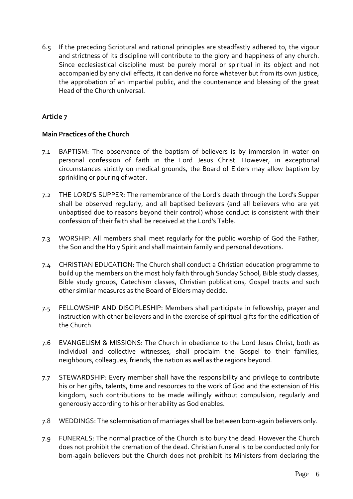6.5 If the preceding Scriptural and rational principles are steadfastly adhered to, the vigour and strictness of its discipline will contribute to the glory and happiness of any church. Since ecclesiastical discipline must be purely moral or spiritual in its object and not accompanied by any civil effects, it can derive no force whatever but from its own justice, the approbation of an impartial public, and the countenance and blessing of the great Head of the Church universal.

# **Article 7**

#### **Main Practices of the Church**

- 7.1 BAPTISM: The observance of the baptism of believers is by immersion in water on personal confession of faith in the Lord Jesus Christ. However, in exceptional circumstances strictly on medical grounds, the Board of Elders may allow baptism by sprinkling or pouring of water.
- 7.2 THE LORD'S SUPPER: The remembrance of the Lord's death through the Lord's Supper shall be observed regularly, and all baptised believers (and all believers who are yet unbaptised due to reasons beyond their control) whose conduct is consistent with their confession of their faith shall be received at the Lord's Table.
- 7.3 WORSHIP: All members shall meet regularly for the public worship of God the Father, the Son and the Holy Spirit and shall maintain family and personal devotions.
- 7.4 CHRISTIAN EDUCATION: The Church shall conduct a Christian education programme to build up the members on the most holy faith through Sunday School, Bible study classes, Bible study groups, Catechism classes, Christian publications, Gospel tracts and such other similar measures as the Board of Elders may decide.
- 7.5 FELLOWSHIP AND DISCIPLESHIP: Members shall participate in fellowship, prayer and instruction with other believers and in the exercise of spiritual gifts for the edification of the Church.
- 7.6 EVANGELISM & MISSIONS: The Church in obedience to the Lord Jesus Christ, both as individual and collective witnesses, shall proclaim the Gospel to their families, neighbours, colleagues, friends, the nation as well as the regions beyond.
- 7.7 STEWARDSHIP: Every member shall have the responsibility and privilege to contribute his or her gifts, talents, time and resources to the work of God and the extension of His kingdom, such contributions to be made willingly without compulsion, regularly and generously according to his or her ability as God enables.
- 7.8 WEDDINGS: The solemnisation of marriages shall be between born-again believers only.
- 7.9 FUNERALS: The normal practice of the Church is to bury the dead. However the Church does not prohibit the cremation of the dead. Christian funeral is to be conducted only for born-again believers but the Church does not prohibit its Ministers from declaring the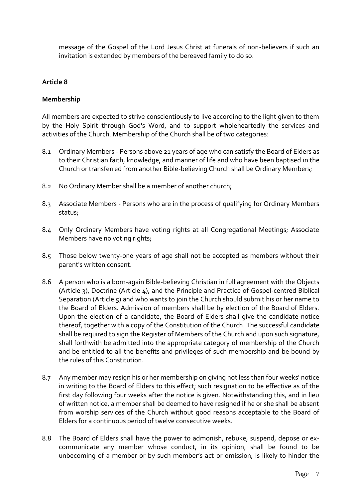message of the Gospel of the Lord Jesus Christ at funerals of non-believers if such an invitation is extended by members of the bereaved family to do so.

# **Article 8**

#### **Membership**

All members are expected to strive conscientiously to live according to the light given to them by the Holy Spirit through God's Word, and to support wholeheartedly the services and activities of the Church. Membership of the Church shall be of two categories:

- 8.1 Ordinary Members Persons above 21 years of age who can satisfy the Board of Elders as to their Christian faith, knowledge, and manner of life and who have been baptised in the Church or transferred from another Bible-believing Church shall be Ordinary Members;
- 8.2 No Ordinary Member shall be a member of another church;
- 8.3 Associate Members Persons who are in the process of qualifying for Ordinary Members status;
- 8.4 Only Ordinary Members have voting rights at all Congregational Meetings; Associate Members have no voting rights;
- 8.5 Those below twenty-one years of age shall not be accepted as members without their parent's written consent.
- 8.6 A person who is a born-again Bible-believing Christian in full agreement with the Objects (Article 3), Doctrine (Article 4), and the Principle and Practice of Gospel-centred Biblical Separation (Article 5) and who wants to join the Church should submit his or her name to the Board of Elders. Admission of members shall be by election of the Board of Elders. Upon the election of a candidate, the Board of Elders shall give the candidate notice thereof, together with a copy of the Constitution of the Church. The successful candidate shall be required to sign the Register of Members of the Church and upon such signature, shall forthwith be admitted into the appropriate category of membership of the Church and be entitled to all the benefits and privileges of such membership and be bound by the rules of this Constitution.
- 8.7 Any member may resign his or her membership on giving not less than four weeks' notice in writing to the Board of Elders to this effect; such resignation to be effective as of the first day following four weeks after the notice is given. Notwithstanding this, and in lieu of written notice, a member shall be deemed to have resigned if he or she shall be absent from worship services of the Church without good reasons acceptable to the Board of Elders for a continuous period of twelve consecutive weeks.
- 8.8 The Board of Elders shall have the power to admonish, rebuke, suspend, depose or excommunicate any member whose conduct, in its opinion, shall be found to be unbecoming of a member or by such member's act or omission, is likely to hinder the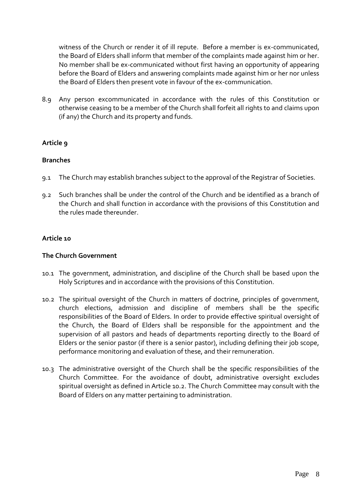witness of the Church or render it of ill repute. Before a member is ex-communicated, the Board of Elders shall inform that member of the complaints made against him or her. No member shall be ex-communicated without first having an opportunity of appearing before the Board of Elders and answering complaints made against him or her nor unless the Board of Elders then present vote in favour of the ex-communication.

8.9 Any person excommunicated in accordance with the rules of this Constitution or otherwise ceasing to be a member of the Church shall forfeit all rights to and claims upon (if any) the Church and its property and funds.

# **Article 9**

# **Branches**

- 9.1 The Church may establish branches subject to the approval of the Registrar of Societies.
- 9.2 Such branches shall be under the control of the Church and be identified as a branch of the Church and shall function in accordance with the provisions of this Constitution and the rules made thereunder.

# **Article 10**

#### **The Church Government**

- 10.1 The government, administration, and discipline of the Church shall be based upon the Holy Scriptures and in accordance with the provisions of this Constitution.
- 10.2 The spiritual oversight of the Church in matters of doctrine, principles of government, church elections, admission and discipline of members shall be the specific responsibilities of the Board of Elders. In order to provide effective spiritual oversight of the Church, the Board of Elders shall be responsible for the appointment and the supervision of all pastors and heads of departments reporting directly to the Board of Elders or the senior pastor (if there is a senior pastor), including defining their job scope, performance monitoring and evaluation of these, and their remuneration.
- 10.3 The administrative oversight of the Church shall be the specific responsibilities of the Church Committee. For the avoidance of doubt, administrative oversight excludes spiritual oversight as defined in Article 10.2. The Church Committee may consult with the Board of Elders on any matter pertaining to administration.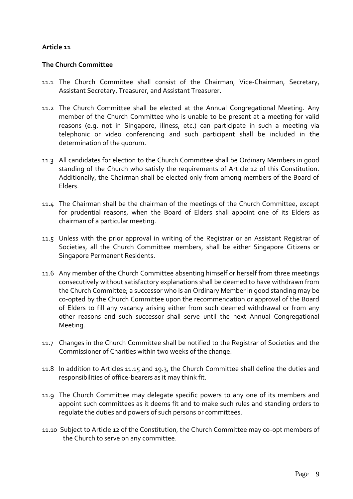#### **The Church Committee**

- 11.1 The Church Committee shall consist of the Chairman, Vice-Chairman, Secretary, Assistant Secretary, Treasurer, and Assistant Treasurer.
- 11.2 The Church Committee shall be elected at the Annual Congregational Meeting. Any member of the Church Committee who is unable to be present at a meeting for valid reasons (e.g. not in Singapore, illness, etc.) can participate in such a meeting via telephonic or video conferencing and such participant shall be included in the determination of the quorum.
- 11.3 All candidates for election to the Church Committee shall be Ordinary Members in good standing of the Church who satisfy the requirements of Article 12 of this Constitution. Additionally, the Chairman shall be elected only from among members of the Board of Elders.
- 11.4 The Chairman shall be the chairman of the meetings of the Church Committee, except for prudential reasons, when the Board of Elders shall appoint one of its Elders as chairman of a particular meeting.
- 11.5 Unless with the prior approval in writing of the Registrar or an Assistant Registrar of Societies, all the Church Committee members, shall be either Singapore Citizens or Singapore Permanent Residents.
- 11.6 Any member of the Church Committee absenting himself or herself from three meetings consecutively without satisfactory explanations shall be deemed to have withdrawn from the Church Committee; a successor who is an Ordinary Member in good standing may be co-opted by the Church Committee upon the recommendation or approval of the Board of Elders to fill any vacancy arising either from such deemed withdrawal or from any other reasons and such successor shall serve until the next Annual Congregational Meeting.
- 11.7 Changes in the Church Committee shall be notified to the Registrar of Societies and the Commissioner of Charities within two weeks of the change.
- 11.8 In addition to Articles 11.15 and 19.3, the Church Committee shall define the duties and responsibilities of office-bearers as it may think fit.
- 11.9 The Church Committee may delegate specific powers to any one of its members and appoint such committees as it deems fit and to make such rules and standing orders to regulate the duties and powers of such persons or committees.
- 11.10 Subject to Article 12 of the Constitution, the Church Committee may co-opt members of the Church to serve on any committee.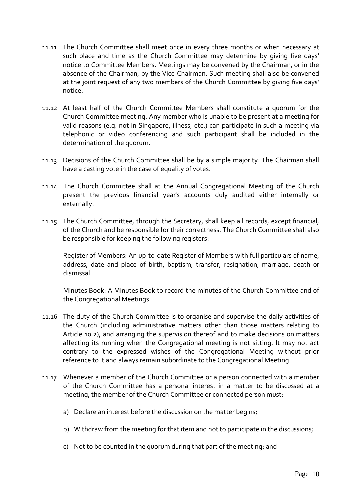- 11.11 The Church Committee shall meet once in every three months or when necessary at such place and time as the Church Committee may determine by giving five days' notice to Committee Members. Meetings may be convened by the Chairman, or in the absence of the Chairman, by the Vice-Chairman. Such meeting shall also be convened at the joint request of any two members of the Church Committee by giving five days' notice.
- 11.12 At least half of the Church Committee Members shall constitute a quorum for the Church Committee meeting. Any member who is unable to be present at a meeting for valid reasons (e.g. not in Singapore, illness, etc.) can participate in such a meeting via telephonic or video conferencing and such participant shall be included in the determination of the quorum.
- 11.13 Decisions of the Church Committee shall be by a simple majority. The Chairman shall have a casting vote in the case of equality of votes.
- 11.14 The Church Committee shall at the Annual Congregational Meeting of the Church present the previous financial year's accounts duly audited either internally or externally.
- 11.15 The Church Committee, through the Secretary, shall keep all records, except financial, of the Church and be responsible for their correctness. The Church Committee shall also be responsible for keeping the following registers:

Register of Members: An up-to-date Register of Members with full particulars of name, address, date and place of birth, baptism, transfer, resignation, marriage, death or dismissal

Minutes Book: A Minutes Book to record the minutes of the Church Committee and of the Congregational Meetings.

- 11.16 The duty of the Church Committee is to organise and supervise the daily activities of the Church (including administrative matters other than those matters relating to Article 10.2), and arranging the supervision thereof and to make decisions on matters affecting its running when the Congregational meeting is not sitting. It may not act contrary to the expressed wishes of the Congregational Meeting without prior reference to it and always remain subordinate to the Congregational Meeting.
- 11.17 Whenever a member of the Church Committee or a person connected with a member of the Church Committee has a personal interest in a matter to be discussed at a meeting, the member of the Church Committee or connected person must:
	- a) Declare an interest before the discussion on the matter begins;
	- b) Withdraw from the meeting for that item and not to participate in the discussions;
	- c) Not to be counted in the quorum during that part of the meeting; and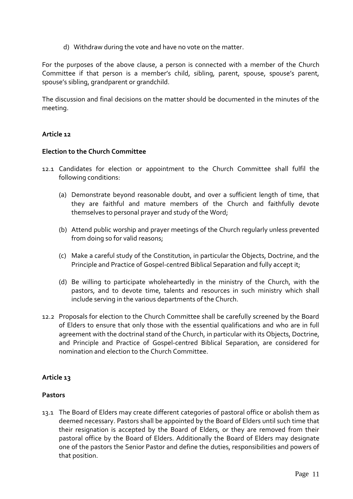d) Withdraw during the vote and have no vote on the matter.

For the purposes of the above clause, a person is connected with a member of the Church Committee if that person is a member's child, sibling, parent, spouse, spouse's parent, spouse's sibling, grandparent or grandchild.

The discussion and final decisions on the matter should be documented in the minutes of the meeting.

# **Article 12**

# **Election to the Church Committee**

- 12.1 Candidates for election or appointment to the Church Committee shall fulfil the following conditions:
	- (a) Demonstrate beyond reasonable doubt, and over a sufficient length of time, that they are faithful and mature members of the Church and faithfully devote themselves to personal prayer and study of the Word;
	- (b) Attend public worship and prayer meetings of the Church regularly unless prevented from doing so for valid reasons;
	- (c) Make a careful study of the Constitution, in particular the Objects, Doctrine, and the Principle and Practice of Gospel-centred Biblical Separation and fully accept it;
	- (d) Be willing to participate wholeheartedly in the ministry of the Church, with the pastors, and to devote time, talents and resources in such ministry which shall include serving in the various departments of the Church.
- 12.2 Proposals for election to the Church Committee shall be carefully screened by the Board of Elders to ensure that only those with the essential qualifications and who are in full agreement with the doctrinal stand of the Church, in particular with its Objects, Doctrine, and Principle and Practice of Gospel-centred Biblical Separation, are considered for nomination and election to the Church Committee.

# **Article 13**

#### **Pastors**

13.1 The Board of Elders may create different categories of pastoral office or abolish them as deemed necessary. Pastors shall be appointed by the Board of Elders until such time that their resignation is accepted by the Board of Elders, or they are removed from their pastoral office by the Board of Elders. Additionally the Board of Elders may designate one of the pastors the Senior Pastor and define the duties, responsibilities and powers of that position.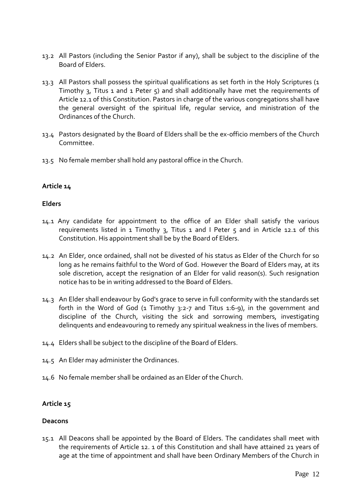- 13.2 All Pastors (including the Senior Pastor if any), shall be subject to the discipline of the Board of Elders.
- 13.3 All Pastors shall possess the spiritual qualifications as set forth in the Holy Scriptures (1 Timothy 3, Titus 1 and 1 Peter  $5$ ) and shall additionally have met the requirements of Article 12.1 of this Constitution. Pastors in charge of the various congregations shall have the general oversight of the spiritual life, regular service, and ministration of the Ordinances of the Church.
- 13.4 Pastors designated by the Board of Elders shall be the ex-officio members of the Church Committee.
- 13.5 No female member shall hold any pastoral office in the Church.

#### **Elders**

- 14.1 Any candidate for appointment to the office of an Elder shall satisfy the various requirements listed in  $1$  Timothy 3, Titus  $1$  and I Peter  $5$  and in Article 12.1 of this Constitution. His appointment shall be by the Board of Elders.
- 14.2 An Elder, once ordained, shall not be divested of his status as Elder of the Church for so long as he remains faithful to the Word of God. However the Board of Elders may, at its sole discretion, accept the resignation of an Elder for valid reason(s). Such resignation notice has to be in writing addressed to the Board of Elders.
- 14.3 An Elder shall endeavour by God's grace to serve in full conformity with the standards set forth in the Word of God (1 Timothy 3:2-7 and Titus 1:6-9), in the government and discipline of the Church, visiting the sick and sorrowing members, investigating delinquents and endeavouring to remedy any spiritual weakness in the lives of members.
- 14.4 Elders shall be subject to the discipline of the Board of Elders.
- 14.5 An Elder may administer the Ordinances.
- 14.6 No female member shall be ordained as an Elder of the Church.

# **Article 15**

#### **Deacons**

15.1 All Deacons shall be appointed by the Board of Elders. The candidates shall meet with the requirements of Article 12. 1 of this Constitution and shall have attained 21 years of age at the time of appointment and shall have been Ordinary Members of the Church in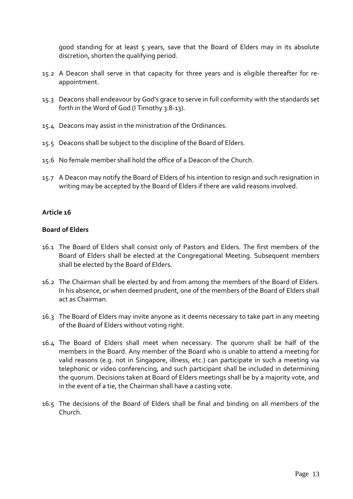good standing for at least 5 years, save that the Board of Elders may in its absolute discretion, shorten the qualifying period.

- 15.2 A Deacon shall serve in that capacity for three years and is eligible thereafter for reappointment.
- 15.3 Deacons shall endeavour by God's grace to serve in full conformity with the standards set forth in the Word of God (I Timothy 3:8-13).
- 15.4 Deacons may assist in the ministration of the Ordinances.
- 15.5 Deacons shall be subject to the discipline of the Board of Elders.
- 15.6 No female member shall hold the office of a Deacon of the Church.
- 15.7 A Deacon may notify the Board of Elders of his intention to resign and such resignation in writing may be accepted by the Board of Elders if there are valid reasons involved.

# **Article 16**

#### **Board of Elders**

- 16.1 The Board of Elders shall consist only of Pastors and Elders. The first members of the Board of Elders shall be elected at the Congregational Meeting. Subsequent members shall be elected by the Board of Elders.
- 16.2 The Chairman shall be elected by and from among the members of the Board of Elders. In his absence, or when deemed prudent, one of the members of the Board of Elders shall act as Chairman.
- 16.3 The Board of Elders may invite anyone as it deems necessary to take part in any meeting of the Board of Elders without voting right.
- 16.4 The Board of Elders shall meet when necessary. The quorum shall be half of the members in the Board. Any member of the Board who is unable to attend a meeting for valid reasons (e.g. not in Singapore, illness, etc.) can participate in such a meeting via telephonic or video conferencing, and such participant shall be included in determining the quorum. Decisions taken at Board of Elders meetings shall be by a majority vote, and in the event of a tie, the Chairman shall have a casting vote.
- 16.5 The decisions of the Board of Elders shall be final and binding on all members of the Church.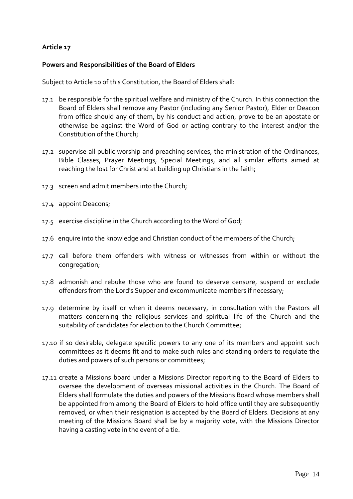#### **Powers and Responsibilities of the Board of Elders**

Subject to Article 10 of this Constitution, the Board of Elders shall:

- 17.1 be responsible for the spiritual welfare and ministry of the Church. In this connection the Board of Elders shall remove any Pastor (including any Senior Pastor), Elder or Deacon from office should any of them, by his conduct and action, prove to be an apostate or otherwise be against the Word of God or acting contrary to the interest and/or the Constitution of the Church;
- 17.2 supervise all public worship and preaching services, the ministration of the Ordinances, Bible Classes, Prayer Meetings, Special Meetings, and all similar efforts aimed at reaching the lost for Christ and at building up Christians in the faith;
- 17.3 screen and admit members into the Church;
- 17.4 appoint Deacons;
- 17.5 exercise discipline in the Church according to the Word of God;
- 17.6 enquire into the knowledge and Christian conduct of the members of the Church;
- 17.7 call before them offenders with witness or witnesses from within or without the congregation;
- 17.8 admonish and rebuke those who are found to deserve censure, suspend or exclude offenders from the Lord's Supper and excommunicate members if necessary;
- 17.9 determine by itself or when it deems necessary, in consultation with the Pastors all matters concerning the religious services and spiritual life of the Church and the suitability of candidates for election to the Church Committee;
- 17.10 if so desirable, delegate specific powers to any one of its members and appoint such committees as it deems fit and to make such rules and standing orders to regulate the duties and powers of such persons or committees;
- 17.11 create a Missions board under a Missions Director reporting to the Board of Elders to oversee the development of overseas missional activities in the Church. The Board of Elders shall formulate the duties and powers of the Missions Board whose members shall be appointed from among the Board of Elders to hold office until they are subsequently removed, or when their resignation is accepted by the Board of Elders. Decisions at any meeting of the Missions Board shall be by a majority vote, with the Missions Director having a casting vote in the event of a tie.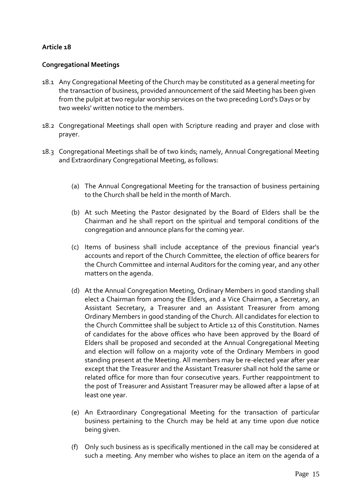#### **Congregational Meetings**

- 18.1 Any Congregational Meeting of the Church may be constituted as a general meeting for the transaction of business, provided announcement of the said Meeting has been given from the pulpit at two regular worship services on the two preceding Lord's Days or by two weeks' written notice to the members.
- 18.2 Congregational Meetings shall open with Scripture reading and prayer and close with prayer.
- 18.3 Congregational Meetings shall be of two kinds; namely, Annual Congregational Meeting and Extraordinary Congregational Meeting, as follows:
	- (a) The Annual Congregational Meeting for the transaction of business pertaining to the Church shall be held in the month of March.
	- (b) At such Meeting the Pastor designated by the Board of Elders shall be the Chairman and he shall report on the spiritual and temporal conditions of the congregation and announce plans for the coming year.
	- (c) Items of business shall include acceptance of the previous financial year's accounts and report of the Church Committee, the election of office bearers for the Church Committee and internal Auditors for the coming year, and any other matters on the agenda.
	- (d) At the Annual Congregation Meeting, Ordinary Members in good standing shall elect a Chairman from among the Elders, and a Vice Chairman, a Secretary, an Assistant Secretary, a Treasurer and an Assistant Treasurer from among Ordinary Members in good standing of the Church. All candidates for election to the Church Committee shall be subject to Article 12 of this Constitution. Names of candidates for the above offices who have been approved by the Board of Elders shall be proposed and seconded at the Annual Congregational Meeting and election will follow on a majority vote of the Ordinary Members in good standing present at the Meeting. All members may be re-elected year after year except that the Treasurer and the Assistant Treasurer shall not hold the same or related office for more than four consecutive years. Further reappointment to the post of Treasurer and Assistant Treasurer may be allowed after a lapse of at least one year.
	- (e) An Extraordinary Congregational Meeting for the transaction of particular business pertaining to the Church may be held at any time upon due notice being given.
	- (f) Only such business as is specifically mentioned in the call may be considered at such a meeting. Any member who wishes to place an item on the agenda of a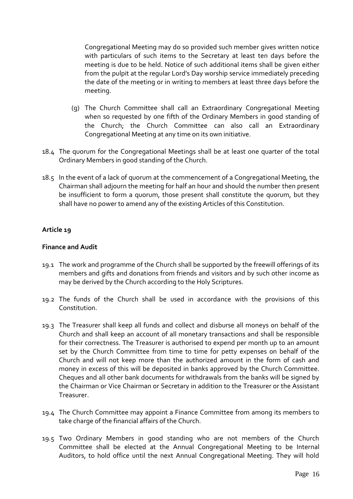Congregational Meeting may do so provided such member gives written notice with particulars of such items to the Secretary at least ten days before the meeting is due to be held. Notice of such additional items shall be given either from the pulpit at the regular Lord's Day worship service immediately preceding the date of the meeting or in writing to members at least three days before the meeting.

- (g) The Church Committee shall call an Extraordinary Congregational Meeting when so requested by one fifth of the Ordinary Members in good standing of the Church; the Church Committee can also call an Extraordinary Congregational Meeting at any time on its own initiative.
- 18.4 The quorum for the Congregational Meetings shall be at least one quarter of the total Ordinary Members in good standing of the Church.
- 18.5 In the event of a lack of quorum at the commencement of a Congregational Meeting, the Chairman shall adjourn the meeting for half an hour and should the number then present be insufficient to form a quorum, those present shall constitute the quorum, but they shall have no power to amend any of the existing Articles of this Constitution.

#### **Article 19**

#### **Finance and Audit**

- 19.1 The work and programme of the Church shall be supported by the freewill offerings of its members and gifts and donations from friends and visitors and by such other income as may be derived by the Church according to the Holy Scriptures.
- 19.2 The funds of the Church shall be used in accordance with the provisions of this Constitution.
- 19.3 The Treasurer shall keep all funds and collect and disburse all moneys on behalf of the Church and shall keep an account of all monetary transactions and shall be responsible for their correctness. The Treasurer is authorised to expend per month up to an amount set by the Church Committee from time to time for petty expenses on behalf of the Church and will not keep more than the authorized amount in the form of cash and money in excess of this will be deposited in banks approved by the Church Committee. Cheques and all other bank documents for withdrawals from the banks will be signed by the Chairman or Vice Chairman or Secretary in addition to the Treasurer or the Assistant Treasurer.
- 19.4 The Church Committee may appoint a Finance Committee from among its members to take charge of the financial affairs of the Church.
- 19.5 Two Ordinary Members in good standing who are not members of the Church Committee shall be elected at the Annual Congregational Meeting to be Internal Auditors, to hold office until the next Annual Congregational Meeting. They will hold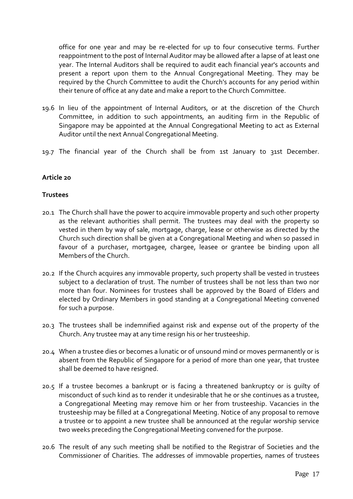office for one year and may be re-elected for up to four consecutive terms. Further reappointment to the post of Internal Auditor may be allowed after a lapse of at least one year. The Internal Auditors shall be required to audit each financial year's accounts and present a report upon them to the Annual Congregational Meeting. They may be required by the Church Committee to audit the Church's accounts for any period within their tenure of office at any date and make a report to the Church Committee.

- 19.6 In lieu of the appointment of Internal Auditors, or at the discretion of the Church Committee, in addition to such appointments, an auditing firm in the Republic of Singapore may be appointed at the Annual Congregational Meeting to act as External Auditor until the next Annual Congregational Meeting.
- 19.7 The financial year of the Church shall be from 1st January to 31st December.

#### **Article 20**

#### **Trustees**

- 20.1 The Church shall have the power to acquire immovable property and such other property as the relevant authorities shall permit. The trustees may deal with the property so vested in them by way of sale, mortgage, charge, lease or otherwise as directed by the Church such direction shall be given at a Congregational Meeting and when so passed in favour of a purchaser, mortgagee, chargee, leasee or grantee be binding upon all Members of the Church.
- 20.2 If the Church acquires any immovable property, such property shall be vested in trustees subject to a declaration of trust. The number of trustees shall be not less than two nor more than four. Nominees for trustees shall be approved by the Board of Elders and elected by Ordinary Members in good standing at a Congregational Meeting convened for such a purpose.
- 20.3 The trustees shall be indemnified against risk and expense out of the property of the Church. Any trustee may at any time resign his or her trusteeship.
- 20.4 When a trustee dies or becomes a lunatic or of unsound mind or moves permanently or is absent from the Republic of Singapore for a period of more than one year, that trustee shall be deemed to have resigned.
- 20.5 If a trustee becomes a bankrupt or is facing a threatened bankruptcy or is guilty of misconduct of such kind as to render it undesirable that he or she continues as a trustee, a Congregational Meeting may remove him or her from trusteeship. Vacancies in the trusteeship may be filled at a Congregational Meeting. Notice of any proposal to remove a trustee or to appoint a new trustee shall be announced at the regular worship service two weeks preceding the Congregational Meeting convened for the purpose.
- 20.6 The result of any such meeting shall be notified to the Registrar of Societies and the Commissioner of Charities. The addresses of immovable properties, names of trustees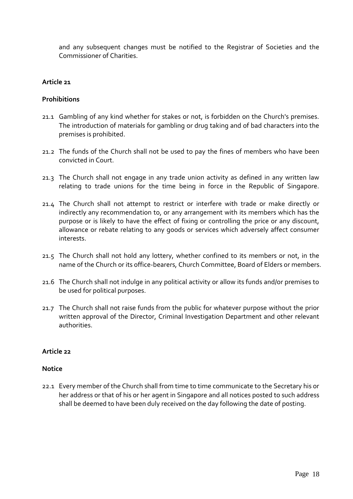and any subsequent changes must be notified to the Registrar of Societies and the Commissioner of Charities.

#### **Article 21**

#### **Prohibitions**

- 21.1 Gambling of any kind whether for stakes or not, is forbidden on the Church's premises. The introduction of materials for gambling or drug taking and of bad characters into the premises is prohibited.
- 21.2 The funds of the Church shall not be used to pay the fines of members who have been convicted in Court.
- 21.3 The Church shall not engage in any trade union activity as defined in any written law relating to trade unions for the time being in force in the Republic of Singapore.
- 21.4 The Church shall not attempt to restrict or interfere with trade or make directly or indirectly any recommendation to, or any arrangement with its members which has the purpose or is likely to have the effect of fixing or controlling the price or any discount, allowance or rebate relating to any goods or services which adversely affect consumer interests.
- 21.5 The Church shall not hold any lottery, whether confined to its members or not, in the name of the Church or its office-bearers, Church Committee, Board of Elders or members.
- 21.6 The Church shall not indulge in any political activity or allow its funds and/or premises to be used for political purposes.
- 21.7 The Church shall not raise funds from the public for whatever purpose without the prior written approval of the Director, Criminal Investigation Department and other relevant authorities.

#### **Article 22**

#### **Notice**

22.1 Every member of the Church shall from time to time communicate to the Secretary his or her address or that of his or her agent in Singapore and all notices posted to such address shall be deemed to have been duly received on the day following the date of posting.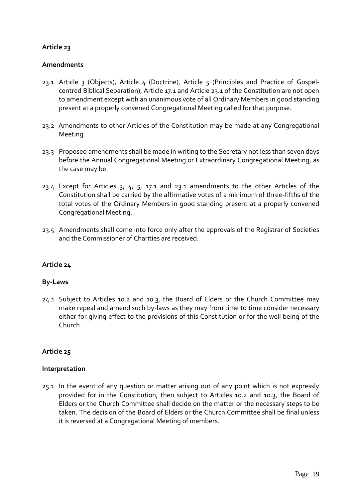#### **Amendments**

- 23.1 Article 3 (Objects), Article 4 (Doctrine), Article 5 (Principles and Practice of Gospelcentred Biblical Separation), Article 17.1 and Article 23.1 of the Constitution are not open to amendment except with an unanimous vote of all Ordinary Members in good standing present at a properly convened Congregational Meeting called for that purpose.
- 23.2 Amendments to other Articles of the Constitution may be made at any Congregational Meeting.
- 23.3 Proposed amendments shall be made in writing to the Secretary not less than seven days before the Annual Congregational Meeting or Extraordinary Congregational Meeting, as the case may be.
- 23.4 Except for Articles 3, 4, 5, 17.1 and 23.1 amendments to the other Articles of the Constitution shall be carried by the affirmative votes of a minimum of three-fifths of the total votes of the Ordinary Members in good standing present at a properly convened Congregational Meeting.
- 23.5 Amendments shall come into force only after the approvals of the Registrar of Societies and the Commissioner of Charities are received.

# **Article 24**

#### **By-Laws**

24.1 Subject to Articles 10.2 and 10.3, the Board of Elders or the Church Committee may make repeal and amend such by-laws as they may from time to time consider necessary either for giving effect to the provisions of this Constitution or for the well being of the Church.

#### **Article 25**

#### **Interpretation**

25.1 In the event of any question or matter arising out of any point which is not expressly provided for in the Constitution, then subject to Articles 10.2 and 10.3, the Board of Elders or the Church Committee shall decide on the matter or the necessary steps to be taken. The decision of the Board of Elders or the Church Committee shall be final unless it is reversed at a Congregational Meeting of members.